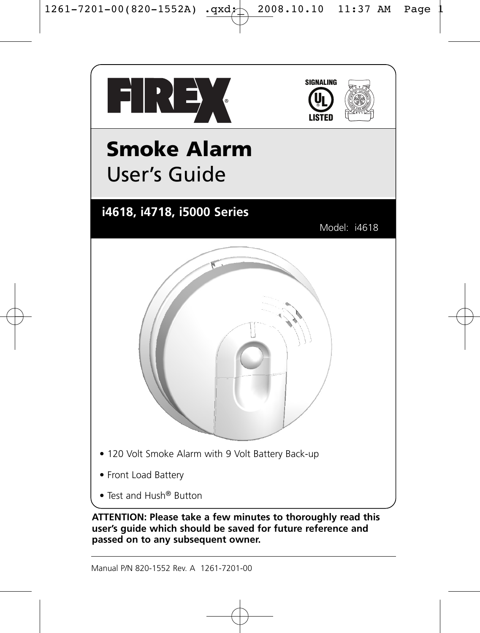



# **Smoke Alarm**  User's Guide

## **i4618, i4718, i5000 Series**

Model: i4618



- 120 Volt Smoke Alarm with 9 Volt Battery Back-up
- Front Load Battery
- Test and Hush® Button

**ATTENTION: Please take a few minutes to thoroughly read this user's guide which should be saved for future reference and passed on to any subsequent owner.**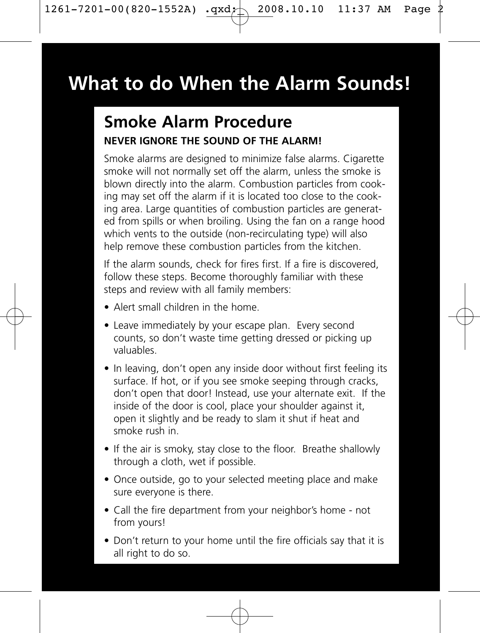## **What to do When the Alarm Sounds!**

## **Smoke Alarm Procedure NEVER IGNORE THE SOUND OF THE ALARM!**

Smoke alarms are designed to minimize false alarms. Cigarette smoke will not normally set off the alarm, unless the smoke is blown directly into the alarm. Combustion particles from cooking may set off the alarm if it is located too close to the cooking area. Large quantities of combustion particles are generated from spills or when broiling. Using the fan on a range hood which vents to the outside (non-recirculating type) will also help remove these combustion particles from the kitchen.

If the alarm sounds, check for fires first. If a fire is discovered, follow these steps. Become thoroughly familiar with these steps and review with all family members:

- Alert small children in the home.
- Leave immediately by your escape plan. Every second counts, so don't waste time getting dressed or picking up valuables.
- In leaving, don't open any inside door without first feeling its surface. If hot, or if you see smoke seeping through cracks, don't open that door! Instead, use your alternate exit. If the inside of the door is cool, place your shoulder against it, open it slightly and be ready to slam it shut if heat and smoke rush in.
- If the air is smoky, stay close to the floor. Breathe shallowly through a cloth, wet if possible.
- Once outside, go to your selected meeting place and make sure everyone is there.
- Call the fire department from your neighbor's home not from yours!
- Don't return to your home until the fire officials say that it is all right to do so.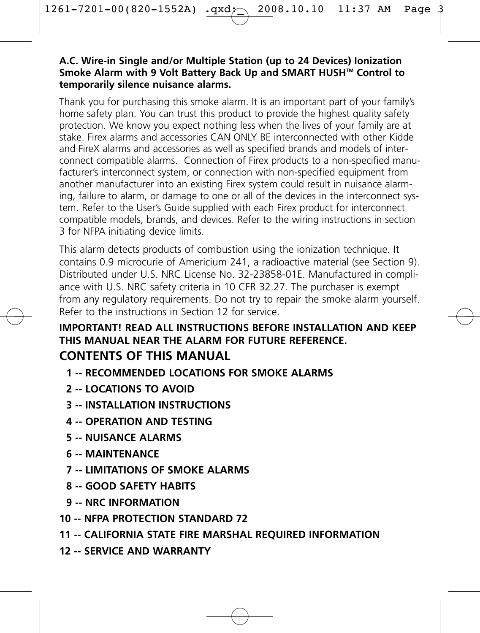#### **A.C. Wire-in Single and/or Multiple Station (up to 24 Devices) Ionization Smoke Alarm with 9 Volt Battery Back Up and SMART HUSHTM Control to temporarily silence nuisance alarms.**

Thank you for purchasing this smoke alarm. It is an important part of your family's home safety plan. You can trust this product to provide the highest quality safety protection. We know you expect nothing less when the lives of your family are at stake. Firex alarms and accessories CAN ONLY BE interconnected with other Kidde and FireX alarms and accessories as well as specified brands and models of interconnect compatible alarms. Connection of Firex products to a non-specified manufacturer's interconnect system, or connection with non-specified equipment from another manufacturer into an existing Firex system could result in nuisance alarming, failure to alarm, or damage to one or all of the devices in the interconnect system. Refer to the User's Guide supplied with each Firex product for interconnect compatible models, brands, and devices. Refer to the wiring instructions in section 3 for NFPA initiating device limits.

This alarm detects products of combustion using the ionization technique. It contains 0.9 microcurie of Americium 241, a radioactive material (see Section 9). Distributed under U.S. NRC License No. 32-23858-01E. Manufactured in compliance with U.S. NRC safety criteria in 10 CFR 32.27. The purchaser is exempt from any regulatory requirements. Do not try to repair the smoke alarm yourself. Refer to the instructions in Section 12 for service.

#### **IMPORTANT! READ ALL INSTRUCTIONS BEFORE INSTALLATION AND KEEP THIS MANUAL NEAR THE ALARM FOR FUTURE REFERENCE. CONTENTS OF THIS MANUAL**

- **1 -- RECOMMENDED LOCATIONS FOR SMOKE ALARMS**
- **2 -- LOCATIONS TO AVOID**
- **3 -- INSTALLATION INSTRUCTIONS**
- **4 -- OPERATION AND TESTING**
- **5 -- NUISANCE ALARMS**
- **6 -- MAINTENANCE**
- **7 -- LIMITATIONS OF SMOKE ALARMS**
- **8 -- GOOD SAFETY HABITS**
- **9 -- NRC INFORMATION**
- **10 -- NFPA PROTECTION STANDARD 72**
- **11 -- CALIFORNIA STATE FIRE MARSHAL REQUIRED INFORMATION**
- **12 -- SERVICE AND WARRANTY**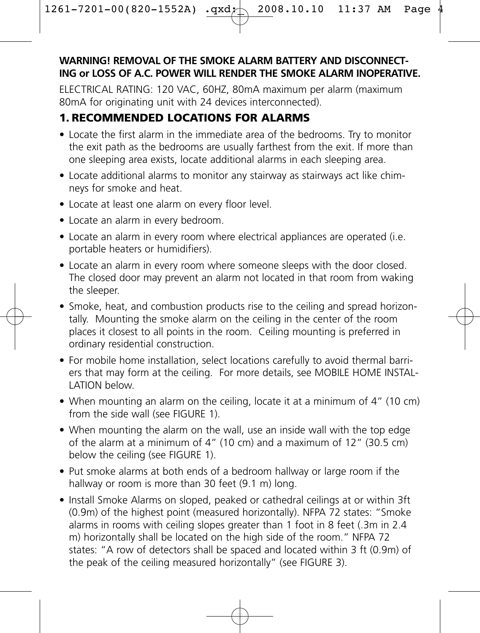#### **WARNING! REMOVAL OF THE SMOKE ALARM BATTERY AND DISCONNECT-ING or LOSS OF A.C. POWER WILL RENDER THE SMOKE ALARM INOPERATIVE.**

ELECTRICAL RATING: 120 VAC, 60HZ, 80mA maximum per alarm (maximum 80mA for originating unit with 24 devices interconnected).

## **1. RECOMMENDED LOCATIONS FOR ALARMS**

- Locate the first alarm in the immediate area of the bedrooms. Try to monitor the exit path as the bedrooms are usually farthest from the exit. If more than one sleeping area exists, locate additional alarms in each sleeping area.
- Locate additional alarms to monitor any stairway as stairways act like chimneys for smoke and heat.
- Locate at least one alarm on every floor level.
- Locate an alarm in every bedroom.
- Locate an alarm in every room where electrical appliances are operated (i.e. portable heaters or humidifiers).
- Locate an alarm in every room where someone sleeps with the door closed. The closed door may prevent an alarm not located in that room from waking the sleeper.
- Smoke, heat, and combustion products rise to the ceiling and spread horizontally. Mounting the smoke alarm on the ceiling in the center of the room places it closest to all points in the room. Ceiling mounting is preferred in ordinary residential construction.
- For mobile home installation, select locations carefully to avoid thermal barriers that may form at the ceiling. For more details, see MOBILE HOME INSTAL-LATION below.
- When mounting an alarm on the ceiling, locate it at a minimum of 4" (10 cm) from the side wall (see FIGURE 1).
- When mounting the alarm on the wall, use an inside wall with the top edge of the alarm at a minimum of 4" (10 cm) and a maximum of 12" (30.5 cm) below the ceiling (see FIGURE 1).
- Put smoke alarms at both ends of a bedroom hallway or large room if the hallway or room is more than 30 feet (9.1 m) long.
- Install Smoke Alarms on sloped, peaked or cathedral ceilings at or within 3ft (0.9m) of the highest point (measured horizontally). NFPA 72 states: "Smoke alarms in rooms with ceiling slopes greater than 1 foot in 8 feet (.3m in 2.4 m) horizontally shall be located on the high side of the room." NFPA 72 states: "A row of detectors shall be spaced and located within 3 ft (0.9m) of the peak of the ceiling measured horizontally" (see FIGURE 3).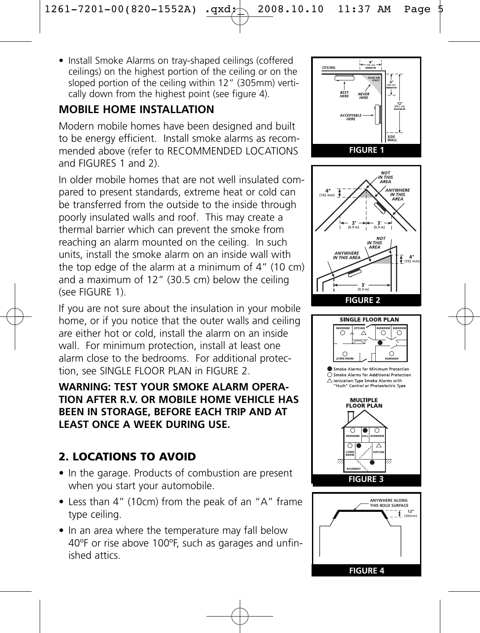• Install Smoke Alarms on tray-shaped ceilings (coffered ceilings) on the highest portion of the ceiling or on the sloped portion of the ceiling within 12" (305mm) vertically down from the highest point (see figure 4).

## **MOBILE HOME INSTALLATION**

Modern mobile homes have been designed and built to be energy efficient. Install smoke alarms as recommended above (refer to RECOMMENDED LOCATIONS and FIGURES 1 and 2).

In older mobile homes that are not well insulated compared to present standards, extreme heat or cold can be transferred from the outside to the inside through poorly insulated walls and roof. This may create a thermal barrier which can prevent the smoke from reaching an alarm mounted on the ceiling. In such units, install the smoke alarm on an inside wall with the top edge of the alarm at a minimum of 4" (10 cm) and a maximum of 12" (30.5 cm) below the ceiling (see FIGURE 1).

If you are not sure about the insulation in your mobile home, or if you notice that the outer walls and ceiling are either hot or cold, install the alarm on an inside wall. For minimum protection, install at least one alarm close to the bedrooms. For additional protection, see SINGLE FLOOR PLAN in FIGURE 2.

**WARNING: TEST YOUR SMOKE ALARM OPERA-TION AFTER R.V. OR MOBILE HOME VEHICLE HAS BEEN IN STORAGE, BEFORE EACH TRIP AND AT LEAST ONCE A WEEK DURING USE.**

## **2. LOCATIONS TO AVOID**

- In the garage. Products of combustion are present when you start your automobile.
- Less than 4" (10cm) from the peak of an "A" frame type ceiling.
- In an area where the temperature may fall below 40ºF or rise above 100ºF, such as garages and unfinished attics.





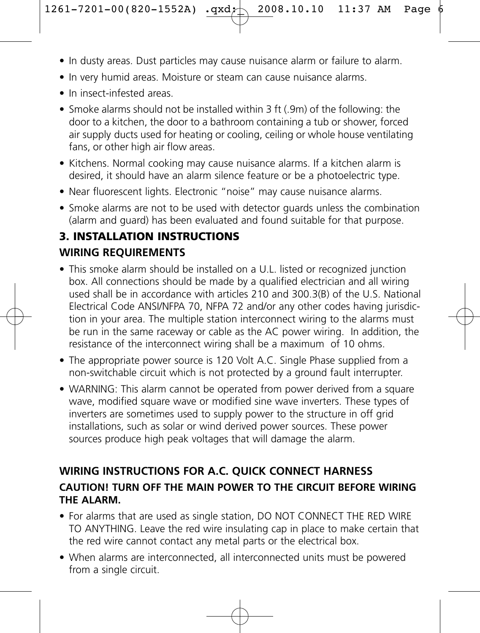- In dusty areas. Dust particles may cause nuisance alarm or failure to alarm.
- In very humid areas. Moisture or steam can cause nuisance alarms.
- In insect-infested areas.
- Smoke alarms should not be installed within 3 ft (.9m) of the following: the door to a kitchen, the door to a bathroom containing a tub or shower, forced air supply ducts used for heating or cooling, ceiling or whole house ventilating fans, or other high air flow areas.
- Kitchens. Normal cooking may cause nuisance alarms. If a kitchen alarm is desired, it should have an alarm silence feature or be a photoelectric type.
- Near fluorescent lights. Electronic "noise" may cause nuisance alarms.
- Smoke alarms are not to be used with detector guards unless the combination (alarm and guard) has been evaluated and found suitable for that purpose.

## **3. INSTALLATION INSTRUCTIONS WIRING REQUIREMENTS**

- This smoke alarm should be installed on a U.L. listed or recognized junction box. All connections should be made by a qualified electrician and all wiring used shall be in accordance with articles 210 and 300.3(B) of the U.S. National Electrical Code ANSI/NFPA 70, NFPA 72 and/or any other codes having jurisdiction in your area. The multiple station interconnect wiring to the alarms must be run in the same raceway or cable as the AC power wiring. In addition, the resistance of the interconnect wiring shall be a maximum of 10 ohms.
- The appropriate power source is 120 Volt A.C. Single Phase supplied from a non-switchable circuit which is not protected by a ground fault interrupter.
- WARNING: This alarm cannot be operated from power derived from a square wave, modified square wave or modified sine wave inverters. These types of inverters are sometimes used to supply power to the structure in off grid installations, such as solar or wind derived power sources. These power sources produce high peak voltages that will damage the alarm.

## **WIRING INSTRUCTIONS FOR A.C. QUICK CONNECT HARNESS CAUTION! TURN OFF THE MAIN POWER TO THE CIRCUIT BEFORE WIRING THE ALARM.**

- For alarms that are used as single station, DO NOT CONNECT THE RED WIRE TO ANYTHING. Leave the red wire insulating cap in place to make certain that the red wire cannot contact any metal parts or the electrical box.
- When alarms are interconnected, all interconnected units must be powered from a single circuit.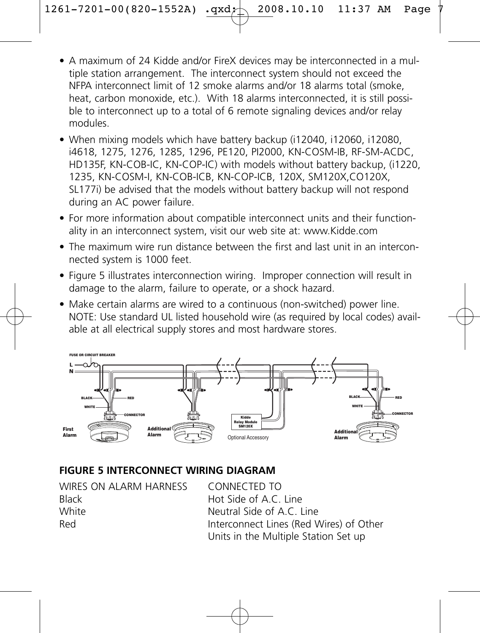- A maximum of 24 Kidde and/or FireX devices may be interconnected in a multiple station arrangement. The interconnect system should not exceed the NFPA interconnect limit of 12 smoke alarms and/or 18 alarms total (smoke, heat, carbon monoxide, etc.). With 18 alarms interconnected, it is still possible to interconnect up to a total of 6 remote signaling devices and/or relay modules.
- When mixing models which have battery backup (i12040, i12060, i12080, i4618, 1275, 1276, 1285, 1296, PE120, PI2000, KN-COSM-IB, RF-SM-ACDC, HD135F, KN-COB-IC, KN-COP-IC) with models without battery backup, (i1220, 1235, KN-COSM-I, KN-COB-ICB, KN-COP-ICB, 120X, SM120X,CO120X, SL177i) be advised that the models without battery backup will not respond during an AC power failure.
- For more information about compatible interconnect units and their functionality in an interconnect system, visit our web site at: www.Kidde.com
- The maximum wire run distance between the first and last unit in an interconnected system is 1000 feet.
- Figure 5 illustrates interconnection wiring. Improper connection will result in damage to the alarm, failure to operate, or a shock hazard.
- Make certain alarms are wired to a continuous (non-switched) power line. NOTE: Use standard UL listed household wire (as required by local codes) available at all electrical supply stores and most hardware stores.



#### **FIGURE 5 INTERCONNECT WIRING DIAGRAM**

| WIRES ON ALARM HARNESS | CONNECTED TO                            |
|------------------------|-----------------------------------------|
| <b>Black</b>           | Hot Side of A.C. Line                   |
| White                  | Neutral Side of A.C. Line               |
| Red                    | Interconnect Lines (Red Wires) of Other |
|                        | Units in the Multiple Station Set up    |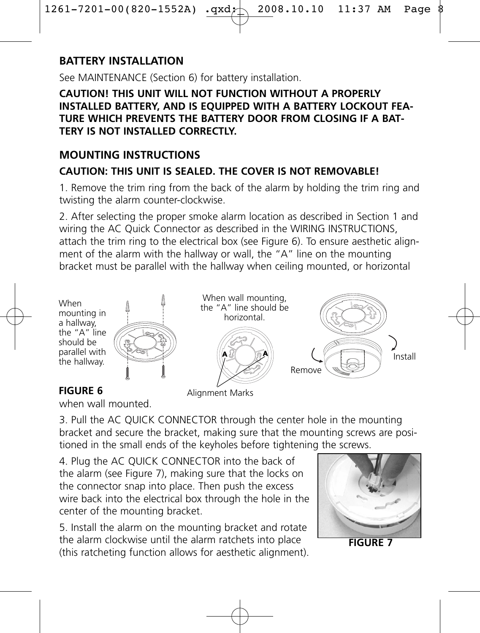## **BATTERY INSTALLATION**

See MAINTENANCE (Section 6) for battery installation.

**CAUTION! THIS UNIT WILL NOT FUNCTION WITHOUT A PROPERLY INSTALLED BATTERY, AND IS EQUIPPED WITH A BATTERY LOCKOUT FEA-TURE WHICH PREVENTS THE BATTERY DOOR FROM CLOSING IF A BAT-TERY IS NOT INSTALLED CORRECTLY** 

#### **MOUNTING INSTRUCTIONS CAUTION: THIS UNIT IS SEALED. THE COVER IS NOT REMOVABLE!**

1. Remove the trim ring from the back of the alarm by holding the trim ring and twisting the alarm counter-clockwise.

2. After selecting the proper smoke alarm location as described in Section 1 and wiring the AC Quick Connector as described in the WIRING INSTRUCTIONS. attach the trim ring to the electrical box (see Figure 6). To ensure aesthetic alignment of the alarm with the hallway or wall, the "A" line on the mounting bracket must be parallel with the hallway when ceiling mounted, or horizontal



#### **FIGURE 6**

when wall mounted.

3. Pull the AC QUICK CONNECTOR through the center hole in the mounting bracket and secure the bracket, making sure that the mounting screws are positioned in the small ends of the keyholes before tightening the screws.

4. Plug the AC QUICK CONNECTOR into the back of the alarm (see Figure 7), making sure that the locks on the connector snap into place. Then push the excess wire back into the electrical box through the hole in the center of the mounting bracket.

5. Install the alarm on the mounting bracket and rotate the alarm clockwise until the alarm ratchets into place (this ratcheting function allows for aesthetic alignment).



**FIGURE 7**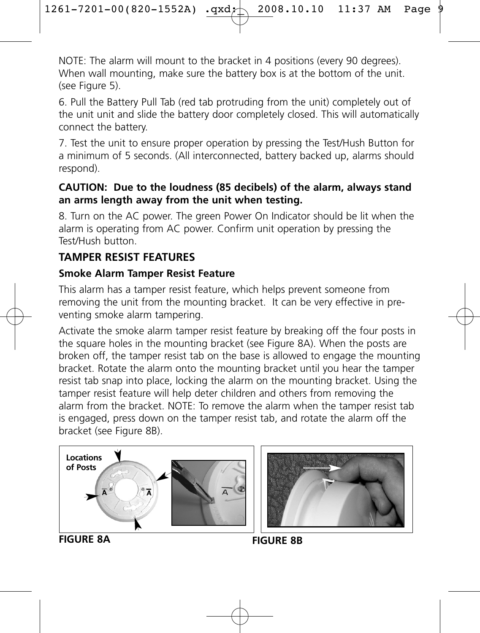NOTE: The alarm will mount to the bracket in 4 positions (every 90 degrees). When wall mounting, make sure the battery box is at the bottom of the unit. (see Figure 5).

6. Pull the Battery Pull Tab (red tab protruding from the unit) completely out of the unit unit and slide the battery door completely closed. This will automatically connect the battery.

7. Test the unit to ensure proper operation by pressing the Test/Hush Button for a minimum of 5 seconds. (All interconnected, battery backed up, alarms should respond).

#### **CAUTION: Due to the loudness (85 decibels) of the alarm, always stand an arms length away from the unit when testing.**

8. Turn on the AC power. The green Power On Indicator should be lit when the alarm is operating from AC power. Confirm unit operation by pressing the Test/Hush button.

## **TAMPER RESIST FEATURES**

#### **Smoke Alarm Tamper Resist Feature**

This alarm has a tamper resist feature, which helps prevent someone from removing the unit from the mounting bracket. It can be very effective in preventing smoke alarm tampering.

Activate the smoke alarm tamper resist feature by breaking off the four posts in the square holes in the mounting bracket (see Figure 8A). When the posts are broken off, the tamper resist tab on the base is allowed to engage the mounting bracket. Rotate the alarm onto the mounting bracket until you hear the tamper resist tab snap into place, locking the alarm on the mounting bracket. Using the tamper resist feature will help deter children and others from removing the alarm from the bracket. NOTE: To remove the alarm when the tamper resist tab is engaged, press down on the tamper resist tab, and rotate the alarm off the bracket (see Figure 8B).





**FIGURE 8A**

**FIGURE 8B**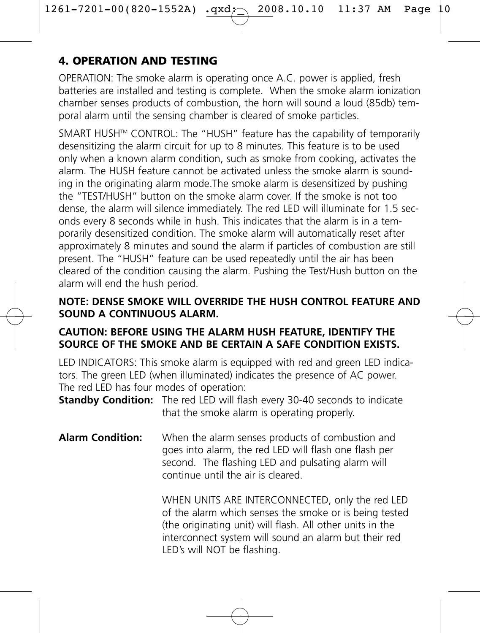## **4. OPERATION AND TESTING**

OPERATION: The smoke alarm is operating once A.C. power is applied, fresh batteries are installed and testing is complete. When the smoke alarm ionization chamber senses products of combustion, the horn will sound a loud (85db) temporal alarm until the sensing chamber is cleared of smoke particles.

SMART HUSH™ CONTROL: The "HUSH" feature has the capability of temporarily desensitizing the alarm circuit for up to 8 minutes. This feature is to be used only when a known alarm condition, such as smoke from cooking, activates the alarm. The HUSH feature cannot be activated unless the smoke alarm is sounding in the originating alarm mode.The smoke alarm is desensitized by pushing the "TEST/HUSH" button on the smoke alarm cover. If the smoke is not too dense, the alarm will silence immediately. The red LED will illuminate for 1.5 seconds every 8 seconds while in hush. This indicates that the alarm is in a temporarily desensitized condition. The smoke alarm will automatically reset after approximately 8 minutes and sound the alarm if particles of combustion are still present. The "HUSH" feature can be used repeatedly until the air has been cleared of the condition causing the alarm. Pushing the Test/Hush button on the alarm will end the hush period.

#### **NOTE: DENSE SMOKE WILL OVERRIDE THE HUSH CONTROL FEATURE AND SOUND A CONTINUOUS ALARM.**

#### **CAUTION: BEFORE USING THE ALARM HUSH FEATURE, IDENTIFY THE SOURCE OF THE SMOKE AND BE CERTAIN A SAFE CONDITION EXISTS.**

LED INDICATORS: This smoke alarm is equipped with red and green LED indicators. The green LED (when illuminated) indicates the presence of AC power. The red LED has four modes of operation:

**Standby Condition:** The red LED will flash every 30-40 seconds to indicate that the smoke alarm is operating properly.

**Alarm Condition:** When the alarm senses products of combustion and goes into alarm, the red LED will flash one flash per second. The flashing LED and pulsating alarm will continue until the air is cleared.

> WHEN UNITS ARE INTERCONNECTED, only the red LED of the alarm which senses the smoke or is being tested (the originating unit) will flash. All other units in the interconnect system will sound an alarm but their red LED's will NOT be flashing.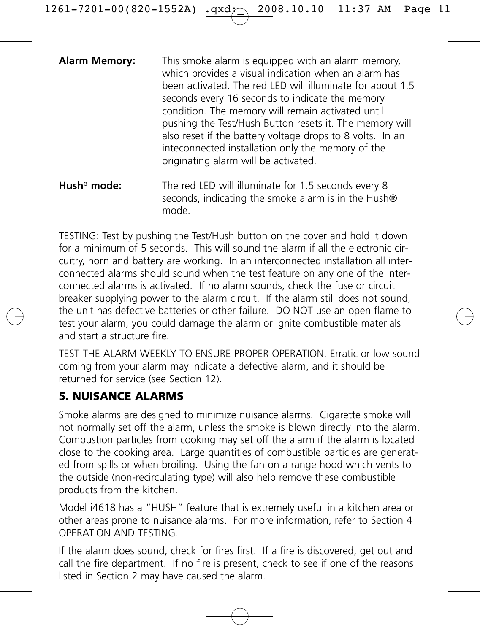| <b>Alarm Memory:</b>    | This smoke alarm is equipped with an alarm memory,<br>which provides a visual indication when an alarm has<br>been activated. The red LED will illuminate for about 1.5<br>seconds every 16 seconds to indicate the memory<br>condition. The memory will remain activated until<br>pushing the Test/Hush Button resets it. The memory will<br>also reset if the battery voltage drops to 8 volts. In an<br>inteconnected installation only the memory of the<br>originating alarm will be activated. |
|-------------------------|------------------------------------------------------------------------------------------------------------------------------------------------------------------------------------------------------------------------------------------------------------------------------------------------------------------------------------------------------------------------------------------------------------------------------------------------------------------------------------------------------|
| $Lineh^{\otimes}$ mode: | The red LED will illuminate for 1 5 seconds event 8                                                                                                                                                                                                                                                                                                                                                                                                                                                  |

**Hush® mode:** The red LED will illuminate for 1.5 seconds every 8 seconds, indicating the smoke alarm is in the Hush® mode.

TESTING: Test by pushing the Test/Hush button on the cover and hold it down for a minimum of 5 seconds. This will sound the alarm if all the electronic circuitry, horn and battery are working. In an interconnected installation all interconnected alarms should sound when the test feature on any one of the interconnected alarms is activated. If no alarm sounds, check the fuse or circuit breaker supplying power to the alarm circuit. If the alarm still does not sound, the unit has defective batteries or other failure. DO NOT use an open flame to test your alarm, you could damage the alarm or ignite combustible materials and start a structure fire.

TEST THE ALARM WEEKLY TO ENSURE PROPER OPERATION. Erratic or low sound coming from your alarm may indicate a defective alarm, and it should be returned for service (see Section 12).

## **5. NUISANCE ALARMS**

Smoke alarms are designed to minimize nuisance alarms. Cigarette smoke will not normally set off the alarm, unless the smoke is blown directly into the alarm. Combustion particles from cooking may set off the alarm if the alarm is located close to the cooking area. Large quantities of combustible particles are generated from spills or when broiling. Using the fan on a range hood which vents to the outside (non-recirculating type) will also help remove these combustible products from the kitchen.

Model i4618 has a "HUSH" feature that is extremely useful in a kitchen area or other areas prone to nuisance alarms. For more information, refer to Section 4 OPERATION AND TESTING.

If the alarm does sound, check for fires first. If a fire is discovered, get out and call the fire department. If no fire is present, check to see if one of the reasons listed in Section 2 may have caused the alarm.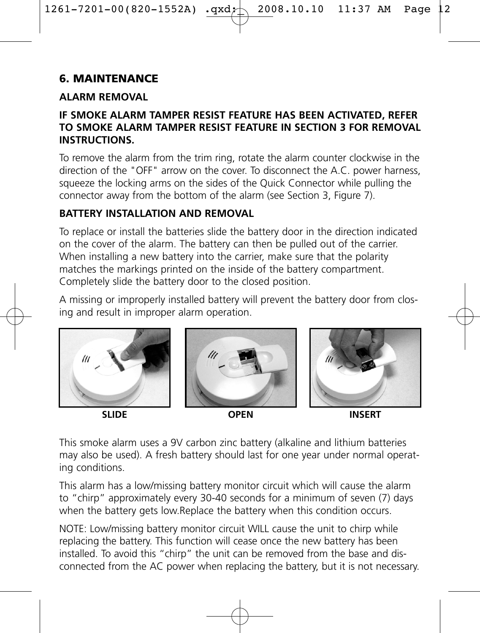## **6. MAINTENANCE**

#### **ALARM REMOVAL**

#### **IF SMOKE ALARM TAMPER RESIST FEATURE HAS BEEN ACTIVATED, REFER TO SMOKE ALARM TAMPER RESIST FEATURE IN SECTION 3 FOR REMOVAL INSTRUCTIONS.**

To remove the alarm from the trim ring, rotate the alarm counter clockwise in the direction of the "OFF" arrow on the cover. To disconnect the A.C. power harness, squeeze the locking arms on the sides of the Quick Connector while pulling the connector away from the bottom of the alarm (see Section 3, Figure 7).

### **BATTERY INSTALLATION AND REMOVAL**

To replace or install the batteries slide the battery door in the direction indicated on the cover of the alarm. The battery can then be pulled out of the carrier. When installing a new battery into the carrier, make sure that the polarity matches the markings printed on the inside of the battery compartment. Completely slide the battery door to the closed position.

A missing or improperly installed battery will prevent the battery door from closing and result in improper alarm operation.



**SLIDE OPEN INSERT**

This smoke alarm uses a 9V carbon zinc battery (alkaline and lithium batteries may also be used). A fresh battery should last for one year under normal operating conditions.

This alarm has a low/missing battery monitor circuit which will cause the alarm to "chirp" approximately every 30-40 seconds for a minimum of seven (7) days when the battery gets low.Replace the battery when this condition occurs.

NOTE: Low/missing battery monitor circuit WILL cause the unit to chirp while replacing the battery. This function will cease once the new battery has been installed. To avoid this "chirp" the unit can be removed from the base and disconnected from the AC power when replacing the battery, but it is not necessary.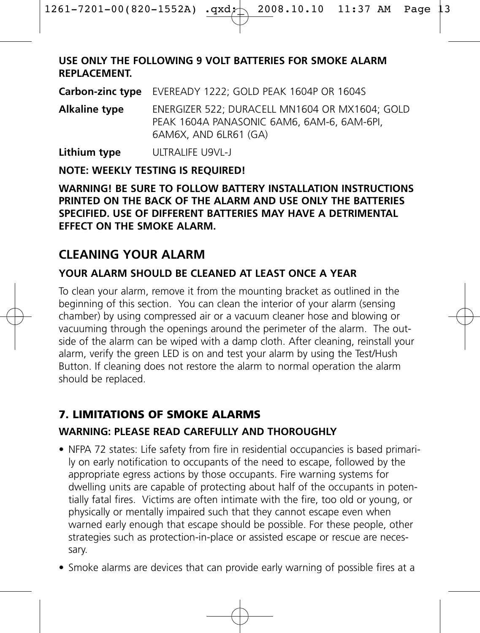#### **USE ONLY THE FOLLOWING 9 VOLT BATTERIES FOR SMOKE ALARM REPLACEMENT.**

**Carbon-zinc type** EVEREADY 1222; GOLD PEAK 1604P OR 1604S

**Alkaline type** ENERGIZER 522; DURACELL MN1604 OR MX1604; GOLD PEAK 1604A PANASONIC 6AM6, 6AM-6, 6AM-6PI, 6AM6X, AND 6LR61 (GA)

**Lithium type** ULTRALIFE U9VL-J

#### **NOTE: WEEKLY TESTING IS REQUIRED!**

#### **WARNING! BE SURE TO FOLLOW BATTERY INSTALLATION INSTRUCTIONS PRINTED ON THE BACK OF THE ALARM AND USE ONLY THE BATTERIES SPECIFIED. USE OF DIFFERENT BATTERIES MAY HAVE A DETRIMENTAL EFFECT ON THE SMOKE ALARM.**

## **CLEANING YOUR ALARM**

#### **YOUR ALARM SHOULD BE CLEANED AT LEAST ONCE A YEAR**

To clean your alarm, remove it from the mounting bracket as outlined in the beginning of this section. You can clean the interior of your alarm (sensing chamber) by using compressed air or a vacuum cleaner hose and blowing or vacuuming through the openings around the perimeter of the alarm. The outside of the alarm can be wiped with a damp cloth. After cleaning, reinstall your alarm, verify the green LED is on and test your alarm by using the Test/Hush Button. If cleaning does not restore the alarm to normal operation the alarm should be replaced.

#### **7. LIMITATIONS OF SMOKE ALARMS**

#### **WARNING: PLEASE READ CAREFULLY AND THOROUGHLY**

- NFPA 72 states: Life safety from fire in residential occupancies is based primarily on early notification to occupants of the need to escape, followed by the appropriate egress actions by those occupants. Fire warning systems for dwelling units are capable of protecting about half of the occupants in potentially fatal fires. Victims are often intimate with the fire, too old or young, or physically or mentally impaired such that they cannot escape even when warned early enough that escape should be possible. For these people, other strategies such as protection-in-place or assisted escape or rescue are necessary.
- Smoke alarms are devices that can provide early warning of possible fires at a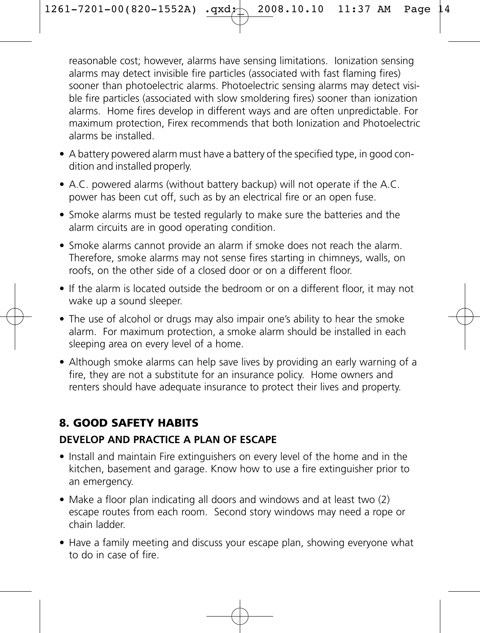reasonable cost; however, alarms have sensing limitations. Ionization sensing alarms may detect invisible fire particles (associated with fast flaming fires) sooner than photoelectric alarms. Photoelectric sensing alarms may detect visible fire particles (associated with slow smoldering fires) sooner than ionization alarms. Home fires develop in different ways and are often unpredictable. For maximum protection, Firex recommends that both Ionization and Photoelectric alarms be installed.

- A battery powered alarm must have a battery of the specified type, in good condition and installed properly.
- A.C. powered alarms (without battery backup) will not operate if the A.C. power has been cut off, such as by an electrical fire or an open fuse.
- Smoke alarms must be tested regularly to make sure the batteries and the alarm circuits are in good operating condition.
- Smoke alarms cannot provide an alarm if smoke does not reach the alarm. Therefore, smoke alarms may not sense fires starting in chimneys, walls, on roofs, on the other side of a closed door or on a different floor.
- If the alarm is located outside the bedroom or on a different floor, it may not wake up a sound sleeper.
- The use of alcohol or drugs may also impair one's ability to hear the smoke alarm. For maximum protection, a smoke alarm should be installed in each sleeping area on every level of a home.
- Although smoke alarms can help save lives by providing an early warning of a fire, they are not a substitute for an insurance policy. Home owners and renters should have adequate insurance to protect their lives and property.

## **8. GOOD SAFETY HABITS**

#### **DEVELOP AND PRACTICE A PLAN OF ESCAPE**

- Install and maintain Fire extinguishers on every level of the home and in the kitchen, basement and garage. Know how to use a fire extinguisher prior to an emergency.
- Make a floor plan indicating all doors and windows and at least two (2) escape routes from each room. Second story windows may need a rope or chain ladder.
- Have a family meeting and discuss your escape plan, showing everyone what to do in case of fire.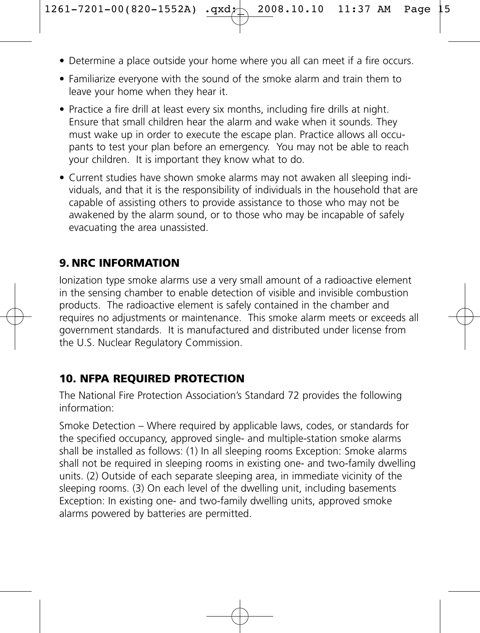- Determine a place outside your home where you all can meet if a fire occurs.
- Familiarize everyone with the sound of the smoke alarm and train them to leave your home when they hear it.
- Practice a fire drill at least every six months, including fire drills at night. Ensure that small children hear the alarm and wake when it sounds. They must wake up in order to execute the escape plan. Practice allows all occupants to test your plan before an emergency. You may not be able to reach your children. It is important they know what to do.
- Current studies have shown smoke alarms may not awaken all sleeping individuals, and that it is the responsibility of individuals in the household that are capable of assisting others to provide assistance to those who may not be awakened by the alarm sound, or to those who may be incapable of safely evacuating the area unassisted.

### **9. NRC INFORMATION**

Ionization type smoke alarms use a very small amount of a radioactive element in the sensing chamber to enable detection of visible and invisible combustion products. The radioactive element is safely contained in the chamber and requires no adjustments or maintenance. This smoke alarm meets or exceeds all government standards. It is manufactured and distributed under license from the U.S. Nuclear Regulatory Commission.

## **10. NFPA REQUIRED PROTECTION**

The National Fire Protection Association's Standard 72 provides the following information:

Smoke Detection – Where required by applicable laws, codes, or standards for the specified occupancy, approved single- and multiple-station smoke alarms shall be installed as follows: (1) In all sleeping rooms Exception: Smoke alarms shall not be required in sleeping rooms in existing one- and two-family dwelling units. (2) Outside of each separate sleeping area, in immediate vicinity of the sleeping rooms. (3) On each level of the dwelling unit, including basements Exception: In existing one- and two-family dwelling units, approved smoke alarms powered by batteries are permitted.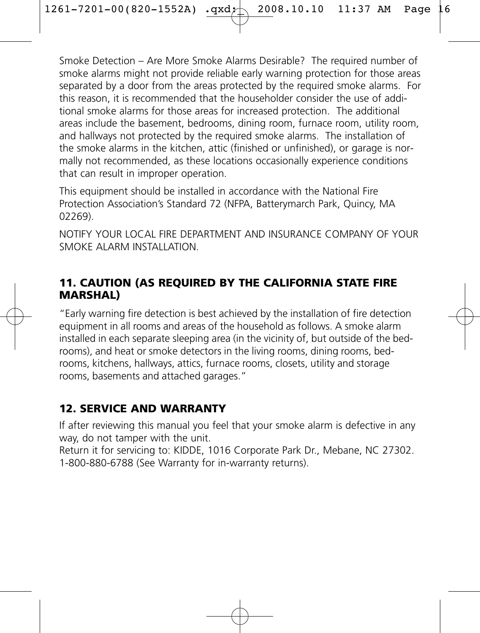Smoke Detection – Are More Smoke Alarms Desirable? The required number of smoke alarms might not provide reliable early warning protection for those areas separated by a door from the areas protected by the required smoke alarms. For this reason, it is recommended that the householder consider the use of additional smoke alarms for those areas for increased protection. The additional areas include the basement, bedrooms, dining room, furnace room, utility room, and hallways not protected by the required smoke alarms. The installation of the smoke alarms in the kitchen, attic (finished or unfinished), or garage is normally not recommended, as these locations occasionally experience conditions that can result in improper operation.

This equipment should be installed in accordance with the National Fire Protection Association's Standard 72 (NFPA, Batterymarch Park, Quincy, MA 02269).

NOTIFY YOUR LOCAL FIRE DEPARTMENT AND INSURANCE COMPANY OF YOUR SMOKE ALARM INSTALLATION.

#### **11. CAUTION (AS REQUIRED BY THE CALIFORNIA STATE FIRE MARSHAL)**

"Early warning fire detection is best achieved by the installation of fire detection equipment in all rooms and areas of the household as follows. A smoke alarm installed in each separate sleeping area (in the vicinity of, but outside of the bedrooms), and heat or smoke detectors in the living rooms, dining rooms, bedrooms, kitchens, hallways, attics, furnace rooms, closets, utility and storage rooms, basements and attached garages."

## **12. SERVICE AND WARRANTY**

If after reviewing this manual you feel that your smoke alarm is defective in any way, do not tamper with the unit.

Return it for servicing to: KIDDE, 1016 Corporate Park Dr., Mebane, NC 27302. 1-800-880-6788 (See Warranty for in-warranty returns).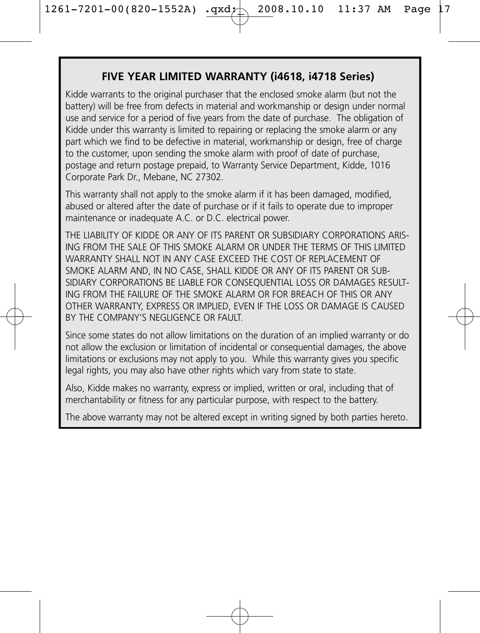#### **FIVE YEAR LIMITED WARRANTY (i4618, i4718 Series)**

Kidde warrants to the original purchaser that the enclosed smoke alarm (but not the battery) will be free from defects in material and workmanship or design under normal use and service for a period of five years from the date of purchase. The obligation of Kidde under this warranty is limited to repairing or replacing the smoke alarm or any part which we find to be defective in material, workmanship or design, free of charge to the customer, upon sending the smoke alarm with proof of date of purchase, postage and return postage prepaid, to Warranty Service Department, Kidde, 1016 Corporate Park Dr., Mebane, NC 27302.

This warranty shall not apply to the smoke alarm if it has been damaged, modified, abused or altered after the date of purchase or if it fails to operate due to improper maintenance or inadequate A.C. or D.C. electrical power.

THE LIABILITY OF KIDDE OR ANY OF ITS PARENT OR SUBSIDIARY CORPORATIONS ARIS-ING FROM THE SALE OF THIS SMOKE ALARM OR UNDER THE TERMS OF THIS LIMITED WARRANTY SHALL NOT IN ANY CASE EXCEED THE COST OF REPLACEMENT OF SMOKE ALARM AND, IN NO CASE, SHALL KIDDE OR ANY OF ITS PARENT OR SUB-SIDIARY CORPORATIONS BE LIABLE FOR CONSEQUENTIAL LOSS OR DAMAGES RESULT-ING FROM THE FAILURE OF THE SMOKE ALARM OR FOR BREACH OF THIS OR ANY OTHER WARRANTY, EXPRESS OR IMPLIED, EVEN IF THE LOSS OR DAMAGE IS CAUSED BY THE COMPANY'S NEGLIGENCE OR FALILT.

Since some states do not allow limitations on the duration of an implied warranty or do not allow the exclusion or limitation of incidental or consequential damages, the above limitations or exclusions may not apply to you. While this warranty gives you specific legal rights, you may also have other rights which vary from state to state.

Also, Kidde makes no warranty, express or implied, written or oral, including that of merchantability or fitness for any particular purpose, with respect to the battery.

The above warranty may not be altered except in writing signed by both parties hereto.